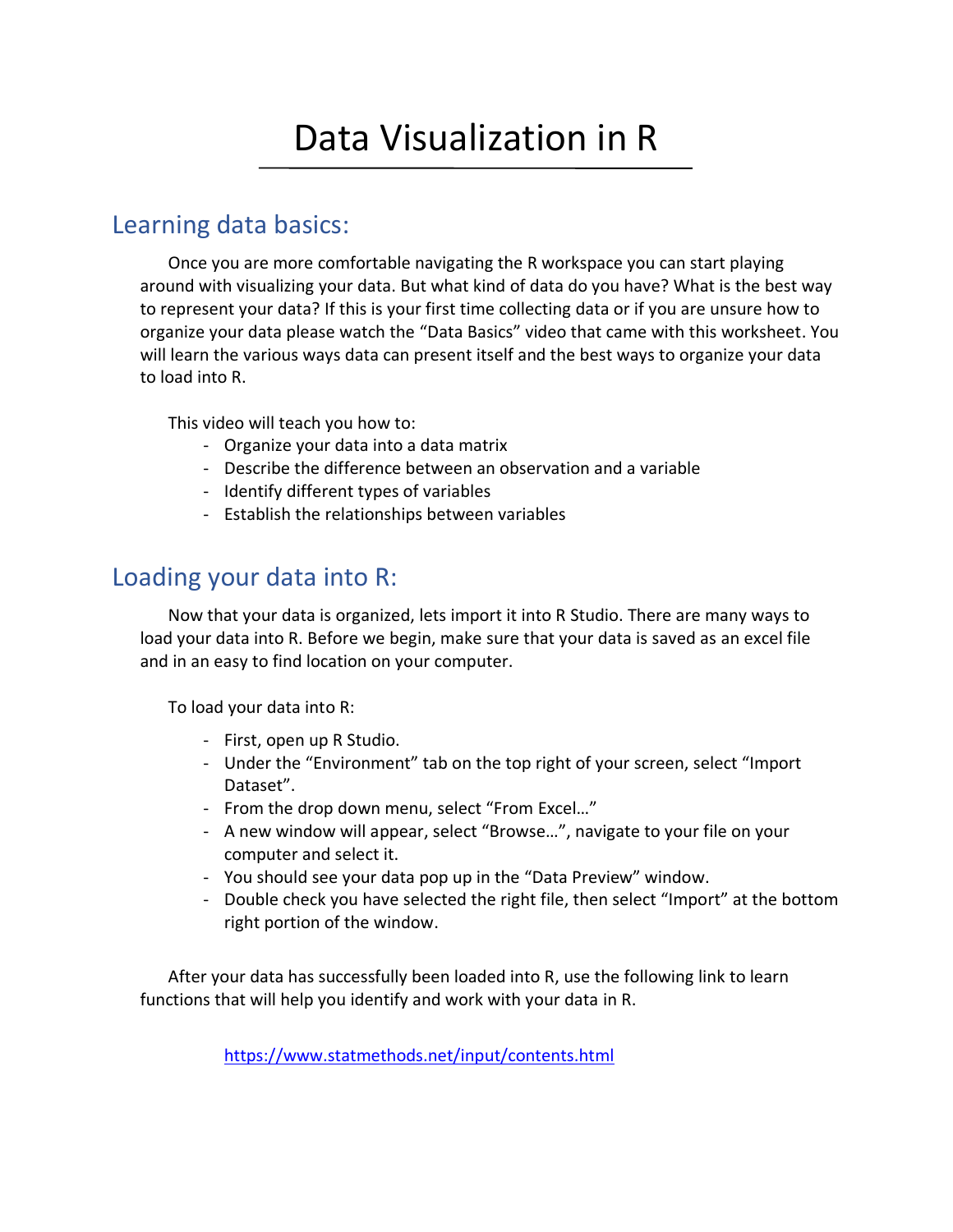# Data Visualization in R

## Learning data basics:

Once you are more comfortable navigating the R workspace you can start playing around with visualizing your data. But what kind of data do you have? What is the best way to represent your data? If this is your first time collecting data or if you are unsure how to organize your data please watch the "Data Basics" video that came with this worksheet. You will learn the various ways data can present itself and the best ways to organize your data to load into R.

This video will teach you how to:

- Organize your data into a data matrix
- Describe the difference between an observation and a variable
- Identify different types of variables
- Establish the relationships between variables

## Loading your data into R:

Now that your data is organized, lets import it into R Studio. There are many ways to load your data into R. Before we begin, make sure that your data is saved as an excel file and in an easy to find location on your computer.

To load your data into R:

- First, open up R Studio.
- Under the "Environment" tab on the top right of your screen, select "Import Dataset".
- From the drop down menu, select "From Excel…"
- A new window will appear, select "Browse…", navigate to your file on your computer and select it.
- You should see your data pop up in the "Data Preview" window.
- Double check you have selected the right file, then select "Import" at the bottom right portion of the window.

After your data has successfully been loaded into R, use the following link to learn functions that will help you identify and work with your data in R.

<https://www.statmethods.net/input/contents.html>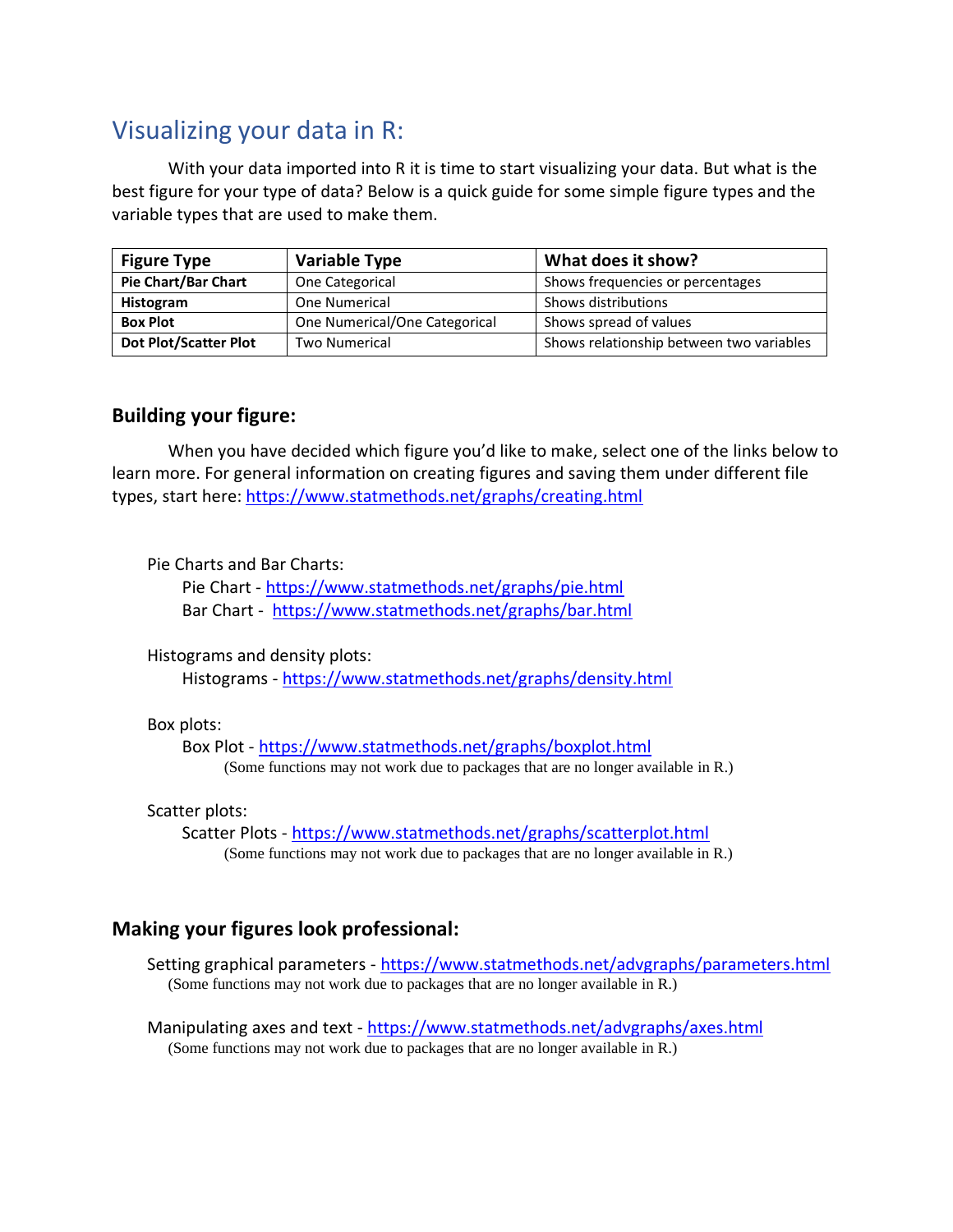# Visualizing your data in R:

With your data imported into R it is time to start visualizing your data. But what is the best figure for your type of data? Below is a quick guide for some simple figure types and the variable types that are used to make them.

| <b>Figure Type</b>           | <b>Variable Type</b>          | What does it show?                       |
|------------------------------|-------------------------------|------------------------------------------|
| <b>Pie Chart/Bar Chart</b>   | One Categorical               | Shows frequencies or percentages         |
| Histogram                    | One Numerical                 | Shows distributions                      |
| <b>Box Plot</b>              | One Numerical/One Categorical | Shows spread of values                   |
| <b>Dot Plot/Scatter Plot</b> | <b>Two Numerical</b>          | Shows relationship between two variables |

### **Building your figure:**

When you have decided which figure you'd like to make, select one of the links below to learn more. For general information on creating figures and saving them under different file types, start here: <https://www.statmethods.net/graphs/creating.html>

Pie Charts and Bar Charts:

Pie Chart - <https://www.statmethods.net/graphs/pie.html> Bar Chart -<https://www.statmethods.net/graphs/bar.html>

Histograms and density plots:

Histograms - <https://www.statmethods.net/graphs/density.html>

#### Box plots:

Box Plot - <https://www.statmethods.net/graphs/boxplot.html> (Some functions may not work due to packages that are no longer available in R.)

#### Scatter plots:

Scatter Plots - <https://www.statmethods.net/graphs/scatterplot.html> (Some functions may not work due to packages that are no longer available in R.)

## **Making your figures look professional:**

Setting graphical parameters - <https://www.statmethods.net/advgraphs/parameters.html> (Some functions may not work due to packages that are no longer available in R.)

Manipulating axes and text - <https://www.statmethods.net/advgraphs/axes.html> (Some functions may not work due to packages that are no longer available in R.)